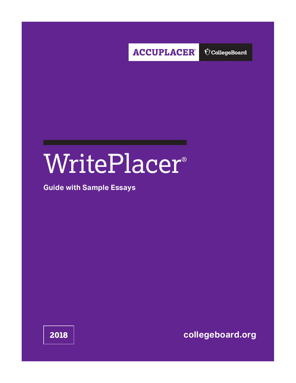

 $\bigcirc$  CollegeBoard

# WritePlacer®

## **Guide with Sample Essays**

**2018 [collegeboard.org](http://collegeboard.org)**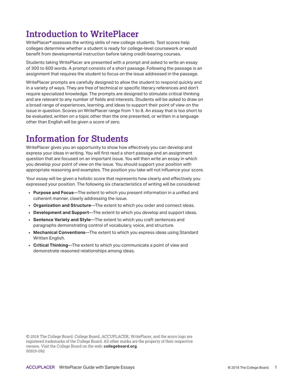# **Introduction to WritePlacer**

WritePlacer® assesses the writing skills of new college students. Test scores help colleges determine whether a student is ready for college-level coursework or would benefit from developmental instruction before taking credit-bearing courses.

Students taking WritePlacer are presented with a prompt and asked to write an essay of 300 to 600 words. A prompt consists of a short passage. Following the passage is an assignment that requires the student to focus on the issue addressed in the passage.

WritePlacer prompts are carefully designed to allow the student to respond quickly and in a variety of ways. They are free of technical or specific literary references and don't require specialized knowledge. The prompts are designed to stimulate critical thinking and are relevant to any number of fields and interests. Students will be asked to draw on a broad range of experiences, learning, and ideas to support their point of view on the issue in question. Scores on WritePlacer range from 1 to 8. An essay that is too short to be evaluated, written on a topic other than the one presented, or written in a language other than English will be given a score of zero.

# **Information for Students**

WritePlacer gives you an opportunity to show how effectively you can develop and express your ideas in writing. You will first read a short passage and an assignment question that are focused on an important issue. You will then write an essay in which you develop your point of view on the issue. You should support your position with appropriate reasoning and examples. The position you take will not influence your score.

Your essay will be given a holistic score that represents how clearly and effectively you expressed your position. The following six characteristics of writing will be considered:

- **Purpose and Focus**—The extent to which you present information in a unified and coherent manner, clearly addressing the issue.
- **Organization and Structure**—The extent to which you order and connect ideas.
- **Development and Support**—The extent to which you develop and support ideas.
- **Sentence Variety and Style**—The extent to which you craft sentences and paragraphs demonstrating control of vocabulary, voice, and structure.
- **Mechanical Conventions**—The extent to which you express ideas using Standard Written English.
- **Critical Thinking**—The extent to which you communicate a point of view and demonstrate reasoned relationships among ideas.

© 2018 The College Board. College Board, ACCUPLACER, WritePlacer, and the acorn logo are registered trademarks of the College Board. All other marks are the property of their respective owners. Visit the College Board on the web: **collegeboard.org**. 00919-092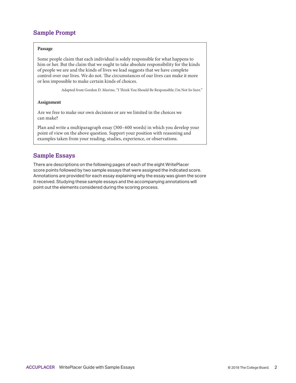## **Sample Prompt**

#### **Passage**

Some people claim that each individual is solely responsible for what happens to him or her. But the claim that we ought to take absolute responsibility for the kinds of people we are and the kinds of lives we lead suggests that we have complete control over our lives. We do not. The circumstances of our lives can make it more or less impossible to make certain kinds of choices.

Adapted from Gordon D. Marino, "I Think You Should Be Responsible; I'm Not So Sure."

#### **Assignment**

Are we free to make our own decisions or are we limited in the choices we can make?

Plan and write a multiparagraph essay (300–600 words) in which you develop your point of view on the above question. Support your position with reasoning and examples taken from your reading, studies, experience, or observations.

### **Sample Essays**

There are descriptions on the following pages of each of the eight WritePlacer score points followed by two sample essays that were assigned the indicated score. Annotations are provided for each essay explaining why the essay was given the score it received. Studying these sample essays and the accompanying annotations will point out the elements considered during the scoring process.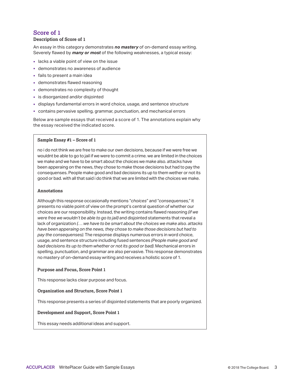#### **Description of Score of 1**

An essay in this category demonstrates *no mastery* of on-demand essay writing. Severely flawed by *many or most* of the following weaknesses, a typical essay:

- **-** lacks a viable point of view on the issue
- demonstrates no awareness of audience
- fails to present a main idea
- demonstrates flawed reasoning
- demonstrates no complexity of thought
- is disorganized and/or disjointed
- displays fundamental errors in word choice, usage, and sentence structure
- contains pervasive spelling, grammar, punctuation, and mechanical errors

Below are sample essays that received a score of 1. The annotations explain why the essay received the indicated score.

#### **Sample Essay #1 – Score of 1**

no i do not think we are free to make our own decisions, because if we were free we wouldnt be able to go to jail if we were to commit a crime. we are limited in the choices we make and we have to be smart about the choices we make also. attacks have been apperaing on the news, they chose to make those decisions but had to pay the consequenses. People make good and bad decisions its up to them wether or not its good or bad. with all that said i do think that we are limited with the choices we make.

#### **Annotations**

Although this response occasionally mentions "*choices*" and "*consequenses*," it presents no viable point of view on the prompt's central question of whether our choices are our responsibility. Instead, the writing contains flawed reasoning *(if we were free we wouldn't be able to go to jail)* and disjointed statements that reveal a lack of organization *(. . . we have to be smart about the choices we make also. attacks have been apperaing on the news, they chose to make those decisions but had to pay the consequenses)*. The response displays numerous errors in word choice, usage, and sentence structure including fused sentences *(People make good and bad decisions its up to them whether or not its good or bad)*. Mechanical errors in spelling, punctuation, and grammar are also pervasive. This response demonstrates no mastery of on-demand essay writing and receives a holistic score of 1.

#### **Purpose and Focus, Score Point 1**

This response lacks clear purpose and focus.

#### **Organization and Structure, Score Point 1**

This response presents a series of disjointed statements that are poorly organized.

#### **Development and Support, Score Point 1**

This essay needs additional ideas and support.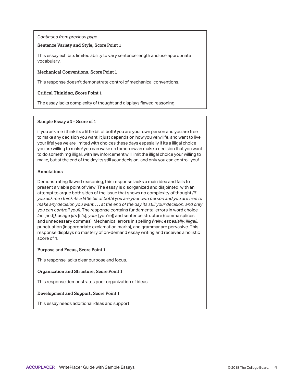#### **Sentence Variety and Style, Score Point 1**

This essay exhibits limited ability to vary sentence length and use appropriate vocabulary.

#### **Mechanical Conventions, Score Point 1**

This response doesn't demonstrate control of mechanical conventions.

#### **Critical Thinking, Score Point 1**

The essay lacks complexity of thought and displays flawed reasoning.

#### **Sample Essay #2 – Score of 1**

if you ask me i think its a little bit of both! you are your own person and you are free to make any decision you want, it just depends on how you veiw life, and want to live your life! yes we are limited with choices these days espesially if its a illigal choice you are willing to make! you can wake up tomorrow an make a decision that you want to do somethimg illigal, with law inforcement will limit the illigal choice your willing to make, but at the end of the day its still your decision, and only you can controll you!

#### **Annotations**

Demonstrating flawed reasoning, this response lacks a main idea and fails to present a viable point of view. The essay is disorganized and disjointed, with an attempt to argue both sides of the issue that shows no complexity of thought *(if you ask me i think its a little bit of both! you are your own person and you are free to make any decision you want. . . . at the end of the day its still your decision, and only you can controll you!)*. The response contains fundamental errors in word choice *(an* [and]*)*, usage *(its* [it's], *your* [you're]) and sentence structure (comma splices and unnecessary commas). Mechanical errors in spelling *(veiw, espesially, illigal)*, punctuation (inappropriate exclamation marks), and grammar are pervasive. This response displays no mastery of on-demand essay writing and receives a holistic score of 1.

#### **Purpose and Focus, Score Point 1**

This response lacks clear purpose and focus.

#### **Organization and Structure, Score Point 1**

This response demonstrates poor organization of ideas.

#### **Development and Support, Score Point 1**

This essay needs additional ideas and support.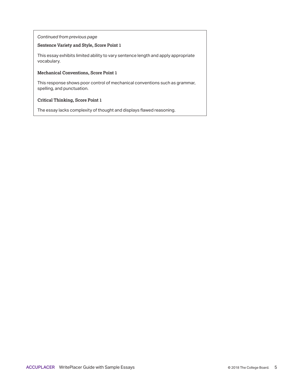#### **Sentence Variety and Style, Score Point 1**

This essay exhibits limited ability to vary sentence length and apply appropriate vocabulary.

#### **Mechanical Conventions, Score Point 1**

This response shows poor control of mechanical conventions such as grammar, spelling, and punctuation.

#### **Critical Thinking, Score Point 1**

The essay lacks complexity of thought and displays flawed reasoning.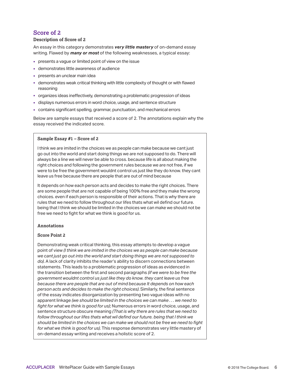#### **Description of Score of 2**

An essay in this category demonstrates *very little mastery* of on-demand essay writing. Flawed by *many or most* of the following weaknesses, a typical essay:

- presents a vague or limited point of view on the issue
- demonstrates little awareness of audience
- **presents an unclear main idea**
- demonstrates weak critical thinking with little complexity of thought or with flawed reasoning
- organizes ideas ineffectively, demonstrating a problematic progression of ideas
- displays numerous errors in word choice, usage, and sentence structure
- contains significant spelling, grammar, punctuation, and mechanical errors

Below are sample essays that received a score of 2. The annotations explain why the essay received the indicated score.

#### **Sample Essay #1 – Score of 2**

I think we are imited in the choices we as people can make because we cant just go out into the world and start doing things we are not supposed to do. There will always be a line we will never be able to cross. because life is all about making the right choices and following the government rules because we are not free, if we were to be free the government wouldnt control us just like they do know. they cant leave us free because there are people that are out of mind because

It depends on how each person acts and decides to make the right choices. There are some people that are not capable of being 100% free and they make the wrong choices. even if each person is responsible of their actions. That is why there are rules that we need to follow throughout our lifes thats what wil defind our future. being that I think we should be limited in the choices we can make we should not be free we need to fight for what we think is good for us.

#### **Annotations**

#### **Score Point 2**

Demonstrating weak critical thinking, this essay attempts to develop a vague point of view *(I think we are imited in the choices we as people can make because we cant just go out into the world and start doing things we are not supposed to do)*. A lack of clarity inhibits the reader's ability to discern connections between statements. This leads to a problematic progression of ideas as evidenced in the transition between the first and second paragraphs *(if we were to be free the government wouldnt control us just like they do know. they cant leave us free because there are people that are out of mind because It depends on how each person acts and decides to make the right choices)*. Similarly, the final sentence of the essay indicates disorganization by presenting two vague ideas with no apparent linkage *(we should be limited in the choices we can make . . . we need to fight for what we think is good for us)*; Numerous errors in word choice, usage, and sentence structure obscure meaning *(That is why there are rules that we need to follow throughout our lifes thats what wil defind our future. being that I think we should be limited in the choices we can make we should not be free we need to fight for what we think is good for us)*. This response demonstrates very little mastery of on-demand essay writing and receives a holistic score of 2.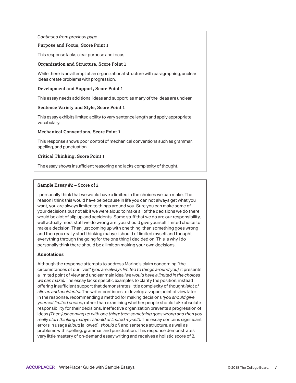#### **Purpose and Focus, Score Point 1**

This response lacks clear purpose and focus.

#### **Organization and Structure, Score Point 1**

While there is an attempt at an organizational structure with paragraphing, unclear ideas create problems with progression.

#### **Development and Support, Score Point 1**

This essay needs additional ideas and support, as many of the ideas are unclear.

#### **Sentence Variety and Style, Score Point 1**

This essay exhibits limited ability to vary sentence length and apply appropriate vocabulary.

#### **Mechanical Conventions, Score Point 1**

This response shows poor control of mechanical conventions such as grammar, spelling, and punctuation.

#### **Critical Thinking, Score Point 1**

The essay shows insufficient reasoning and lacks complexity of thought.

#### **Sample Essay #2 – Score of 2**

I personally think that we would have a limited in the choices we can make. The reason i think this would have be because in life you can not always get what you want, you are always limited to things around you. Sure you can make some of your decisions but not all; if we were aloud to make all of the decisions we do there would be alot of slip up and accidents. Some stuff that we do are our responsibility, well actually most stuff we do wrong are, you should give yourself limited choice to make a decision. Then just coming up with one thing; then something goes wrong and then you really start thinking mabye i should of limited myself and thought everything through the going for the one thing i decided on. This is why i do personally think there should be a limit on making your own decisions.

#### **Annotations**

Although the response attempts to address Marino's claim concerning "the circumstances of our lives" *(you are always limited to things around you)*, it presents a limited point of view and unclear main idea *(we would have a limited in the choices we can make)*. The essay lacks specific examples to clarify the position, instead offering insufficient support that demonstrates little complexity of thought *(alot of slip up and accidents)*. The writer continues to develop a vague point of view later in the response, recommending a method for making decisions *(you should give yourself limited choice)* rather than examining whether people should take absolute responsibility for their decisions. Ineffective organization prevents a progression of ideas *(Then just coming up with one thing; then something goes wrong and then you really start thinking mabye i should of limited myself)*. The essay contains significant errors in usage *(aloud* [allowed], *should of)* and sentence structure, as well as problems with spelling, grammar, and punctuation. This response demonstrates very little mastery of on-demand essay writing and receives a holistic score of 2.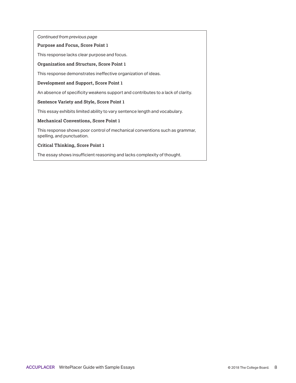#### **Purpose and Focus, Score Point 1**

This response lacks clear purpose and focus.

#### **Organization and Structure, Score Point 1**

This response demonstrates ineffective organization of ideas.

#### **Development and Support, Score Point 1**

An absence of specificity weakens support and contributes to a lack of clarity.

#### **Sentence Variety and Style, Score Point 1**

This essay exhibits limited ability to vary sentence length and vocabulary.

#### **Mechanical Conventions, Score Point 1**

This response shows poor control of mechanical conventions such as grammar, spelling, and punctuation.

#### **Critical Thinking, Score Point 1**

The essay shows insufficient reasoning and lacks complexity of thought.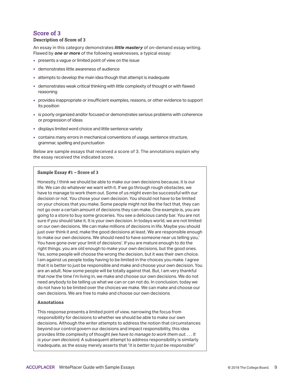#### **Description of Score of 3**

An essay in this category demonstrates *little mastery* of on-demand essay writing. Flawed by *one or more* of the following weaknesses, a typical essay:

- presents a vague or limited point of view on the issue
- demonstrates little awareness of audience
- attempts to develop the main idea though that attempt is inadequate
- demonstrates weak critical thinking with little complexity of thought or with flawed reasoning
- provides inappropriate or insufficient examples, reasons, or other evidence to support its position
- is poorly organized and/or focused or demonstrates serious problems with coherence or progression of ideas
- displays limited word choice and little sentence variety
- contains many errors in mechanical conventions of usage, sentence structure, grammar, spelling and punctuation

Below are sample essays that received a score of 3. The annotations explain why the essay received the indicated score.

#### **Sample Essay #1 – Score of 3**

Honestly, I think we should be able to make our own decisions because, it is our life. We can do whatever we want with it. If we go through rough obstacles, we have to manage to work them out. Some of us might even be successful with our decision or not. You chose your own decision. You should not have to be limited on your choices that you make. Some people might not like the fact that, they can not go over a certain amount of decisions they can make. One example is, you are going to a store to buy some groceries. You see a delicious candy bar. You are not sure if you should take it. It is your own decision. In todays world, we are not limited on our own decisions. We can make millions of decisions in life. Maybe you should just over think it and, make the good decisions at least. We are responsible enough to make our own decisions. We should need to have someone near us telling you,' You have gone over your limit of decisions'. If you are mature enough to do the right things, you are old enough to make your own decisions, but the good ones. Yes, some people will choose the wrong the decision, but it was their own choice. I am against us people today having to be limited in the choices you make. I agree that it is better to just be responsible and make and choose your own decision. You are an adult. Now some people will be totally against that. But, I am very thankful that now the time I'm living in, we make and choose our own decisions. We do not need anybody to be telling us what we can or can not do. In conclusion, today we do not have to be limited over the choices we make. We can make and choose our own decisions. We are free to make and choose our own decisions

#### **Annotations**

This response presents a limited point of view, narrowing the focus from responsibility for decisions to whether we should be able to make our own decisions. Although the writer attempts to address the notion that circumstances beyond our control govern our decisions and impact responsibility, this idea provides little complexity of thought *(we have to manage to work them out. . . . It is your own decision)*. A subsequent attempt to address responsibility is similarly inadequate, as the essay merely asserts that "*it is better to just be responsible*"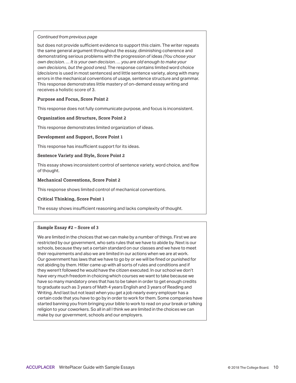but does not provide sufficient evidence to support this claim. The writer repeats the same general argument throughout the essay, diminishing coherence and demonstrating serious problems with the progression of ideas *(You chose your own decision. … It is your own decision. … you are old enough to make your own decisions, but the good ones)*. The response contains limited word choice (*decisions* is used in most sentences) and little sentence variety, along with many errors in the mechanical conventions of usage, sentence structure and grammar. This response demonstrates little mastery of on-demand essay writing and receives a holistic score of 3.

#### **Purpose and Focus, Score Point 2**

This response does not fully communicate purpose, and focus is inconsistent.

#### **Organization and Structure, Score Point 2**

This response demonstrates limited organization of ideas.

#### **Development and Support, Score Point 1**

This response has insufficient support for its ideas.

#### **Sentence Variety and Style, Score Point 2**

This essay shows inconsistent control of sentence variety, word choice, and flow of thought.

#### **Mechanical Conventions, Score Point 2**

This response shows limited control of mechanical conventions.

**Critical Thinking, Score Point 1** 

The essay shows insufficient reasoning and lacks complexity of thought.

#### **Sample Essay #2 – Score of 3**

We are limited in the choices that we can make by a number of things. First we are restricted by our government, who sets rules that we have to abide by. Next is our schools, because they set a certain standard on our classes and we have to meet their requirements and also we are limited in our actions when we are at work. Our government has laws that we have to go by or we will be fined or punished for not abiding by them. Hitler came up with all sorts of rules and conditions and if they weren't followed he would have the citizen executed. In our school we don't have very much freedom in choicing which courses we want to take because we have so many mandatory ones that has to be taken in order to get enough credits to graduate such as 3 years of Math 4 years English and 3 years of Reading and Writing. And last but not least when you get a job nearly every employer has a certain code that you have to go by in order to work for them. Some companies have started banning you from bringing your bible to work to read on your break or talking religion to your coworkers. So all in all I think we are limited in the choices we can make by our government, schools and our employers.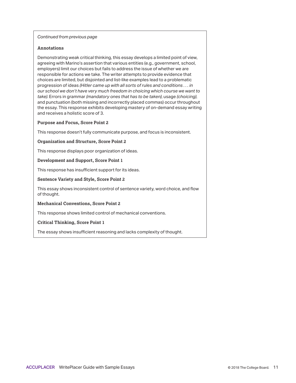#### **Annotations**

Demonstrating weak critical thinking, this essay develops a limited point of view, agreeing with Marino's assertion that various entities (e.g., government, school, employers) limit our choices but fails to address the issue of whether we are responsible for actions we take. The writer attempts to provide evidence that choices are limited, but disjointed and list-like examples lead to a problematic progression of ideas *(Hitler came up with all sorts of rules and conditions . . . in our school we don't have very much freedom in choicing which course we want to take)*. Errors in grammar *(mandatory ones that has to be taken)*, usage *(choicing)*, and punctuation (both missing and incorrectly placed commas) occur throughout the essay. This response exhibits developing mastery of on-demand essay writing and receives a holistic score of 3.

#### **Purpose and Focus, Score Point 2**

This response doesn't fully communicate purpose, and focus is inconsistent.

#### **Organization and Structure, Score Point 2**

This response displays poor organization of ideas.

#### **Development and Support, Score Point 1**

This response has insufficient support for its ideas.

#### **Sentence Variety and Style, Score Point 2**

This essay shows inconsistent control of sentence variety, word choice, and flow of thought.

**Mechanical Conventions, Score Point 2** 

This response shows limited control of mechanical conventions.

#### **Critical Thinking, Score Point 1**

The essay shows insufficient reasoning and lacks complexity of thought.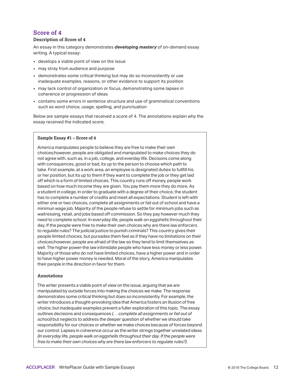#### **Description of Score of 4**

An essay in this category demonstrates *developing mastery* of on-demand essay writing. A typical essay:

- develops a viable point of view on the issue
- $\blacksquare$  may stray from audience and purpose
- demonstrates some critical thinking but may do so inconsistently or use inadequate examples, reasons, or other evidence to support its position
- may lack control of organization or focus, demonstrating some lapses in coherence or progression of ideas
- contains some errors in sentence structure and use of grammatical conventions such as word choice, usage, spelling, and punctuation

Below are sample essays that received a score of 4. The annotations explain why the essay received the indicated score.

#### **Sample Essay #1 – Score of 4**

America manipulates people to believe they are free to make their own choices;however, people are obligated and manipulated to make choices they do not agree with, such as, in a job, college, and everday life. Decisons come along with consquences, good or bad, its up to the person to choose which path to take. First example, at a work area, an employee is designated duties to fullfill his or her position, but its up to them if they want to complete the job or they get laid off which is a form of limited choices. This country runs off money, people work based on how much income they are given. You pay them more they do more. As a student in college, in order to graduate with a degree of their choice, the student has to complete a number of credits and meet all expectations. Student is left with either one or two choices, complete all assignments or fail out of school and have a minimun wage job. Majority of the people refuse to settle for minimum jobs such as waitressing, retail, and jobs based off commission. So they pay however much they need to complete school. In everyday life, people walk on eggshells throughout their day. If the people were free to make their own choices why are there law enforcers to regulate rules? The judicial justice to punish criminals? This country gives their people limited choices, but pursades them feel as if they have no limitations on their choices;however, people are afraid of the law so they tend to limit themselves as well. The higher power-the law intimidate people who have less money or less power. Majority of those who do not have limited choices, have a higher power and in order to have higher power money is needed. Moral of the story, America manipulates their people in the direction in favor for them.

#### **Annotations**

The writer presents a viable point of view on the issue, arguing that we are manipulated by outside forces into making the choices we make. The response demonstrates some critical thinking but does so inconsistently. For example, the writer introduces a thought-provoking idea that America fosters an illusion of free choice, but inadequate examples prevent a fuller exploration of this topic. The essay outlines decisions and consequences *(. . . complete all assignments or fail out of school)* but neglects to address the deeper question of whether we should take responsibility for our choices or whether we make choices because of forces beyond our control. Lapses in coherence occur as the writer strings together unrelated ideas *(In everyday life, people walk on eggshells throughout their day. If the people were free to make their own choices why are there law enforcers to regulate rules?)*.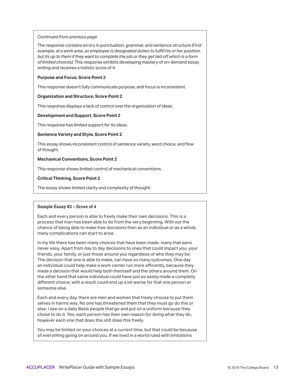The response contains errors in punctuation, grammar, and sentence structure *(First example, at a work area, an employee is designated duties to fulfill his or her position, but its up to them if they want to complete the job or they get laid off which is a form of limited choices).* This response exhibits developing mastery of on-demand essay writing and receives a holistic score of 4.

#### **Purpose and Focus, Score Point 2**

This response doesn't fully communicate purpose, and focus is inconsistent.

#### **Organization and Structure, Score Point 2**

This response displays a lack of control over the organization of ideas.

#### **Development and Support, Score Point 2**

This response has limited support for its ideas.

#### **Sentence Variety and Style, Score Point 2**

This essay shows inconsistent control of sentence variety, word choice, and flow of thought.

#### **Mechanical Conventions, Score Point 2**

This response shows limited control of mechanical conventions.

#### **Critical Thinking, Score Point 2**

The essay shows limited clarity and complexity of thought.

#### **Sample Essay #2 – Score of 4**

Each and every person is able to freely make their own decisions. This is a process that man has been able to do from the very beginning. With out the chance of being able to make free decisions then as an individual or as a whole, many complications can start to arise.

In my life there has been many choices that have been made. many that were never easy. Apart from day to day decisions to ones that could impact you, your friends, your family, or just those around you regardless of who they may be. The decision that one is able to make, can have so many outcomes. One day an individual could help make a work center run more efficently, because they made a decision that would help both themself and the others around them. On the other hand that same individual could have just as easily made a completly different choice, with a result could end up a lot worse for that one person or someone else.

Each and every day, there are men and women that freely choose to put them selves in harms way. No one has threatened them that they must go do this or else. I see on a daily Basis people that go and put on a uniform because they chose to do it. Yes, each person has their own reason for doing what they do, however each one that does this still does this freely.

You may be limited on your choices at a current time, but that could be because of everything going on around you. If we lived in a world ruled with limitations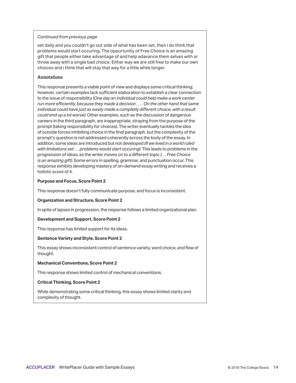set daily and you couldn't go out side of what has been set, then i do think that problems would start occuring. The oppurtunity of Free Choice is an amazing gift that people either take advantage of and help adavance them selves with or throw away with a single bad choice. Either way we are still free to make our own choices and i think that will stay that way for a little while longer.

#### **Annotations**

This response presents a viable point of view and displays some critical thinking; however, certain examples lack sufficient elaboration to establish a clear connection to the issue of responsibility (*One day an individual could help make a work center run more efficiently, because they made a decision . . . . On the other hand that same individual could have just as easily made a completly different choice, with a result could end up a lot worse)*. Other examples, such as the discussion of dangerous careers in the third paragraph, are inappropriate, straying from the purpose of the prompt (taking responsibility for choices). The writer eventually tackles the idea of outside forces inhibiting choice in the final paragraph, but the complexity of the prompt's question is not addressed coherently across the body of the essay. In addition, some ideas are introduced but not developed *(If we lived in a world ruled with limitations set . . . problems would start occuring)*. This leads to problems in the progression of ideas, as the writer moves on to a different topic *(. . . Free Choice is an amazing gift)*. Some errors in spelling, grammar, and punctuation occur. This response exhibits developing mastery of on-demand essay writing and receives a holistic score of 4.

#### **Purpose and Focus, Score Point 2**

This response doesn't fully communicate purpose, and focus is inconsistent.

#### **Organization and Structure, Score Point 2**

In spite of lapses in progression, the response follows a limited organizational plan.

#### **Development and Support, Score Point 2**

This response has limited support for its ideas.

#### **Sentence Variety and Style, Score Point 2**

This essay shows inconsistent control of sentence variety, word choice, and flow of thought.

#### **Mechanical Conventions, Score Point 2**

This response shows limited control of mechanical conventions.

#### **Critical Thinking, Score Point 2**

While demonstrating some critical thinking, this essay shows limited clarity and complexity of thought.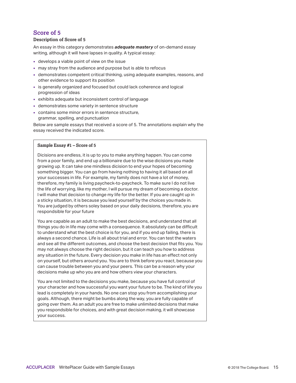#### **Description of Score of 5**

An essay in this category demonstrates *adequate mastery* of on-demand essay writing, although it will have lapses in quality. A typical essay:

- develops a viable point of view on the issue
- may stray from the audience and purpose but is able to refocus
- demonstrates competent critical thinking, using adequate examples, reasons, and other evidence to support its position
- is generally organized and focused but could lack coherence and logical progression of ideas
- exhibits adequate but inconsistent control of language
- demonstrates some variety in sentence structure
- contains some minor errors in sentence structure, grammar, spelling, and punctuation

Below are sample essays that received a score of 5. The annotations explain why the essay received the indicated score.

#### **Sample Essay #1 – Score of 5**

Dicisions are endless, it is up to you to make anything happen. You can come from a poor family, and end up a billionaire due to the wise dicisions you made growing up. It can take one mindless dicision to end your hopes of becoming something bigger. You can go from having nothing to having it all based on all your successes in life. For example, my family does not have a lot of money, therefore, my family is living paycheck-to-paycheck. To make sure I do not live the life of worrying, like my mother, I will pursue my dream of becoming a doctor. I will make that decision to change my life for the better. If you are caught up in a sticky situation, it is because you lead yourself by the choices you made in. You are judged by others soley based on your daily decisions, therefore, you are respondsible for your future

You are capable as an adult to make the best decisions, and understand that all things you do in life may come with a consequence. It absolutely can be difficult to understand what the best choice is for you, and if you end up failing, there is always a second chance. Life is all about trial and error. You can test the waters and see all the different outcomes, and choose the best decision that fits you. You may not always choose the right decision, but it can teach you how to address any situation in the future. Every decision you make in life has an effect not only on yourself, but others around you. You are to think before you react, because you can cause trouble between you and your peers. This can be a reason why your decisions make up who you are and how others view your characters.

You are not limited to the decisions you make, because you have full control of your character and how successful you want your future to be. The kind of life you lead is completely in your hands. No one can stop you from accomplishing your goals. Although, there might be bumbs along the way, you are fully capable of going over them. As an adult you are free to make unlimited decisions that make you respondsible for choices, and with great decision making, it will showcase your success.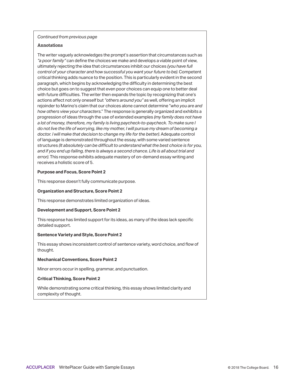#### **Annotations**

The writer vaguely acknowledges the prompt's assertion that circumstances such as *"a poor family"* can define the choices we make and develops a viable point of view, ultimately rejecting the idea that circumstances inhibit our choices *(you have full control of your character and how successful you want your future to be)*. Competent critical thinking adds nuance to the position. This is particularly evident in the second paragraph, which begins by acknowledging the difficulty in determining the best choice but goes on to suggest that even poor choices can equip one to better deal with future difficulties. The writer then expands the topic by recognizing that one's actions affect not only oneself but *"others around you"* as well, offering an implicit rejoinder to Marino's claim that our choices alone cannot determine "*who you are and how others view your characters*." The response is generally organized and exhibits a progression of ideas through the use of extended examples *(my family does not have a lot of money, therefore, my family is living paycheck-to-paycheck. To make sure I do not live the life of worrying, like my mother, I will pursue my dream of becoming a doctor. I will make that decision to change my life for the better)*. Adequate control of language is demonstrated throughout the essay, with some varied sentence structures *(It absolutely can be difficult to understand what the best choice is for you, and if you end up failing, there is always a second chance. Life is all about trial and error)*. This response exhibits adequate mastery of on-demand essay writing and receives a holistic score of 5.

#### **Purpose and Focus, Score Point 2**

This response doesn't fully communicate purpose.

#### **Organization and Structure, Score Point 2**

This response demonstrates limited organization of ideas.

#### **Development and Support, Score Point 2**

This response has limited support for its ideas, as many of the ideas lack specific detailed support.

#### **Sentence Variety and Style, Score Point 2**

This essay shows inconsistent control of sentence variety, word choice, and flow of thought.

#### **Mechanical Conventions, Score Point 2**

Minor errors occur in spelling, grammar, and punctuation.

#### **Critical Thinking, Score Point 2**

While demonstrating some critical thinking, this essay shows limited clarity and complexity of thought.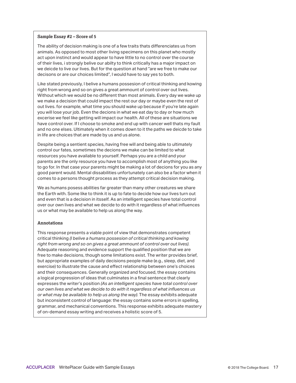#### **Sample Essay #2 – Score of 5**

The ability of decision making is one of a few traits thats differenciates us from animals. As opposed to most other living specimens on this planet who mostly act upon instinct and would appear to have little to no control over the course of their lives, i strongly belive our abilty to think critically has a major impact on we deicde to live our lives. But for the question at hand "are we free to make our decisons or are our choices limited", I would have to say yes to both.

Like stated previously, I belive a humans possesion of critical thinking and kowing right from wrong and so on gives a great ammount of control over out lives. Without which we would be no different than most animals. Every day we wake up we make a decision that could impact the rest our day or maybe even the rest of out lives. for example, what time you should wake up because if you're late again you will lose your job. Even the decions in what we eat day to day or how much excerise we feel like getting will impact our health. All of these are situations we have control over. If I choose to smoke and end up with cancer well thats my fault and no one elses. Ultimately when it comes down to it the paths we deicde to take in life are choices that are made by us and us alone.

Despite being a sentient species, having free will and being able to ultimately control our fates, sometimes the decions we make can be limited to what resources you have available to yourself. Perhaps you are a child and your parents are the only resource you have to accomplish most of anything you like to go for. In that case your parents might be making a lot of decions for you as any good parent would. Mental dissabilities unfortunately can also be a factor when it comes to a persons thought process as they attempt critical decision making.

We as humans posess abilities far greater than many other creatures we share the Earth with. Some like to think it is up to fate to decide how our lives turn out and even that is a decision in itsself. As an intelligent species have total control over our own lives and what we decide to do with it regardless of what influences us or what may be available to help us along the way.

#### **Annotations**

This response presents a viable point of view that demonstrates competent critical thinking *(I belive a humans possesion of critical thinking and kowing right from wrong and so on gives a great ammount of control over out lives)*. Adequate reasoning and evidence support the qualified position that we are free to make decisions, though some limitations exist. The writer provides brief, but appropriate examples of daily decisions people make (e.g., sleep, diet, and exercise) to illustrate the cause and effect relationship between one's choices and their consequences. Generally organized and focused, the essay contains a logical progression of ideas that culminates in a final sentence that clearly expresses the writer's position *(As an intelligent species have total control over our own lives and what we decide to do with it regardless of what influences us or what may be available to help us along the way)*. The essay exhibits adequate but inconsistent control of language: the essay contains some errors in spelling, grammar, and mechanical conventions. This response exhibits adequate mastery of on-demand essay writing and receives a holistic score of 5.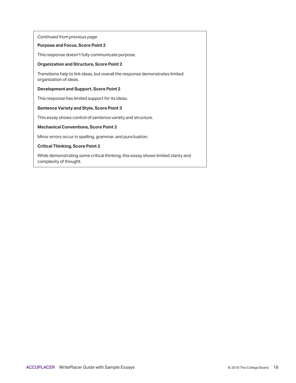#### **Purpose and Focus, Score Point 2**

This response doesn't fully communicate purpose.

#### **Organization and Structure, Score Point 2**

Transitions help to link ideas, but overall the response demonstrates limited organization of ideas.

#### **Development and Support, Score Point 2**

This response has limited support for its ideas.

#### **Sentence Variety and Style, Score Point 3**

This essay shows control of sentence variety and structure.

#### **Mechanical Conventions, Score Point 2**

Minor errors occur in spelling, grammar, and punctuation.

#### **Critical Thinking, Score Point 2**

While demonstrating some critical thinking, this essay shows limited clarity and complexity of thought.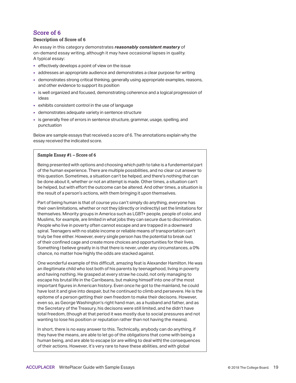#### **Description of Score of 6**

An essay in this category demonstrates *reasonably consistent mastery* of on-demand essay writing, although it may have occasional lapses in quality. A typical essay:

- effectively develops a point of view on the issue
- addresses an appropriate audience and demonstrates a clear purpose for writing
- demonstrates strong critical thinking, generally using appropriate examples, reasons, and other evidence to support its position
- is well organized and focused, demonstrating coherence and a logical progression of ideas
- exhibits consistent control in the use of language
- demonstrates adequate variety in sentence structure
- is generally free of errors in sentence structure, grammar, usage, spelling, and punctuation

Below are sample essays that received a score of 6. The annotations explain why the essay received the indicated score.

#### **Sample Essay #1 – Score of 6**

Being presented with options and choosing which path to take is a fundemental part of the human experience. There are multiple possbilities, and no clear cut answer to this question. Sometimes, a situation can't be helped, and there's nothing that can be done about it, whether or not an attempt is made. Other times, a situation can't be helped, but with effort the outcome can be altered. And other times, a situation is the result of a person's actions, with them bringing it upon themselves.

Part of being human is that of course you can't simply do anything, everyone has their own limitations, whether or not they (directly or indirectly) set the limitations for themselves. Minority groups in America such as LGBT+ people, people of color, and Muslims, for example, are limited in what jobs they can secure due to discrimination. People who live in poverty often cannot escape and are trapped in a downward spiral. Teenagers with no stable income or reliable means of transportation can't truly be free either. However, every single person has the potential to break out of their confined cage and create more choices and opportunities for their lives. Something I believe greatly in is that there is never, under any circumstances, a 0% chance, no matter how highly the odds are stacked against.

One wonderful example of this difficult, amazing feat is Alexander Hamilton. He was an illegitimate child who lost both of his parents by teenagehood, living in poverty and having nothing. He grasped at every straw he could, not only managing to escape his brutal life in the Carribeans, but making himself into one of the most important figures in American history. Even once he got to the mainland, he could have lost it and give into despair, but he continued to climb and persevere. He is the epitome of a person getting their own freedom to make their decisons. However, even so, as George Washington's right hand man, as a husband and father, and as the Secretary of the Treasury, his decisons were still limited, and he didn't have total freedom, (though at that period it was mostly due to social pressures and not wanting to lose his position or reputation rather than not having the means).

In short, there is no easy answer to this. Technically, anybody can do anything, if they have the means, are able to let go of the obligations that come with being a human being, and are able to escape (or are willing to deal with) the consequences of their actions. However, it's very rare to have these abilities, and with global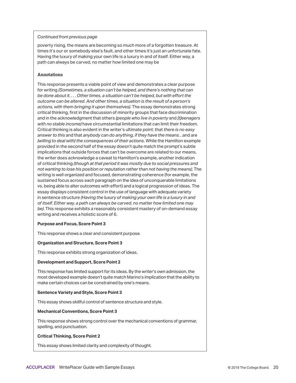poverty rising, the means are becoming so much more of a forgotten treasure. At times it's our or somebody else's fault, and other times it's just an unfortunate fate. Having the luxury of making your own life is a luxury in and of itself. Either way, a path can always be carved, no matter how limited one may be

#### **Annotations**

This response presents a viable point of view and demonstrates a clear purpose for writing *(Sometimes, a situation can't be helped, and there's nothing that can be done about it. . . . Other times, a situation can't be helped, but with effort the outcome can be altered. And other times, a situation is the result of a person's actions, with them bringing it upon themselves)*. The essay demonstrates strong critical thinking, first in the discussion of minority groups that face discrimination and in the acknowledgment that others *(people who live in poverty* and *[t]eenagers with no stable income)* have circumstantial limitations that can limit their freedom. Critical thinking is also evident in the writer's ultimate point: that *there is no easy answer to this* and that *anybody can do anything, if they have the means…*and are *(willing to deal with) the consequences of their actions.* While the Hamilton example provided in the second half of the essay doesn't quite match the prompt's subtle implications that outside forces that can't be overcome are related to our means, the writer does acknowledge a caveat to Hamilton's example, another indication of critical thinking *(though at that period it was mostly due to social pressures and not wanting to lose his position or reputation rather than not having the means)*. The writing is well organized and focused, demonstrating coherence (for example, the sustained focus across each paragraph on the idea of unconquerable limitations vs. being able to alter outcomes with effort) and a logical progression of ideas. The essay displays consistent control in the use of language with adequate variety in sentence structure *(Having the luxury of making your own life is a luxury in and of itself. Either way, a path can always be carved, no matter how limited one may be)*. This response exhibits a reasonably consistent mastery of on-demand essay writing and receives a holistic score of 6.

#### **Purpose and Focus, Score Point 3**

This response shows a clear and consistent purpose.

#### **Organization and Structure, Score Point 3**

This response exhibits strong organization of ideas.

#### **Development and Support, Score Point 2**

This response has limited support for its ideas. By the writer's own admission, the most developed example doesn't quite match Marino's implication that the ability to make certain choices can be constrained by one's means.

#### **Sentence Variety and Style, Score Point 3**

This essay shows skillful control of sentence structure and style.

#### **Mechanical Conventions, Score Point 3**

This response shows strong control over the mechanical conventions of grammar, spelling, and punctuation.

#### **Critical Thinking, Score Point 2**

This essay shows limited clarity and complexity of thought.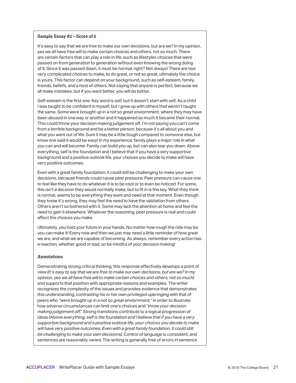#### **Sample Essay #2 – Score of 6**

It's easy to say that we are free to make our own decisions, but are we? In my opinion, yes we all have free will to make certain choices and others, not so much. There are certain factors that can play a role in life, such as lifestyles choices that were passed on from generation to generation without even knowing the wrong doing of it. Since it was passed down, it must be normal, right? Not always! There are two very complicated choices to make, to do great, or not so great, ultimately the choice is yours. This factor can depend on your background, such as self-esteem, family, friends, beliefs, and a host of others. Not saying that anyone is perfect, because we all make mistakes, but if you want better, you will do better.

Self-esteem is the first one. Key word is self, but it doesn't start with self. As a child I was taught to be confident in myself, but I grew up with others that weren't taught the same. Some were brought up in a not so great enviornment, where they may have been abused in one way or another and it happened so much it became their normal. This could throw your decision making judgement off. I'm not saying you can't come from a terrible background and be a better person, because it's all about you and what you want out of life. Sure it may be a little tough compared to someone else, but know one said it would be easy! In my experience, family plays a major role in what you can and will become. Family can build you up, but can also tear you down. Above everything, self is the foundation and I believe that if you have a very supportive background and a positive outlook life, your choices you decide to make will have very positive outcomes.

Even with a great family foundation, it could still be challenging to make your own decisions, because friends could cause peer pressure. Peer pressure can cause one to feel like they have to do whatever it is to be cool or to even be noticed. For some, this isn't a decision they would normally make, but to fit in is the key. What they think is normal, seems to be everything they want and need at that moment. Even though they know it's wrong, they may feel the need to have the validation from others. Others aren't so bothered with it. Some may lack the attention at home and feel the need to gain it elsewhere. Whatever the reasoning, peer pressure is real and could affect the choices you make.

Ultimately, you hold your future in your hands. No matter how rough the ride may be, you can make it! Every now and then we just may need a little reminder of how great we are, and what we are capable of becoming. As always, remember every action has a reaction, whether good or bad, so be mindful of your decision making!

#### **Annotations**

Demonstrating strong critical thinking, this response effectively develops a point of view *(It's easy to say that we are free to make our own decisions, but are we? In my opinion, yes we all have free will to make certain choices and others, not so much)*  and supports that position with appropriate reasons and examples. The writer recognizes the complexity of the issues and provides evidence that demonstrates this understanding, contrasting his or her own privileged upbringing with that of peers who *"were brought up in a not so great enviornment,"* in order to illustrate how adverse circumstances can limit one's choices and "*throw your decision making judgement off*." Strong transitions contribute to a logical progression of ideas *(Above everything, self is the foundation and I believe that if you have a very supportive background and a positive outlook life, your choices you decide to make will have very positive outcomes. Even with a great family foundation, it could still be challenging to make your own decisions)*. Control of language is consistent, and sentences are reasonably varied. The writing is generally free of errors in sentence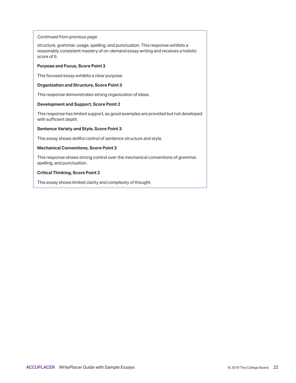structure, grammar, usage, spelling, and punctuation. This response exhibits a reasonably consistent mastery of on-demand essay writing and receives a holistic score of 6.

#### **Purpose and Focus, Score Point 3**

This focused essay exhibits a clear purpose.

#### **Organization and Structure, Score Point 3**

This response demonstrates strong organization of ideas.

#### **Development and Support, Score Point 2**

This response has limited support, as good examples are provided but not developed with sufficient depth.

#### **Sentence Variety and Style, Score Point 3**

This essay shows skillful control of sentence structure and style.

#### **Mechanical Conventions, Score Point 3**

This response shows strong control over the mechanical conventions of grammar, spelling, and punctuation.

#### **Critical Thinking, Score Point 2**

This essay shows limited clarity and complexity of thought.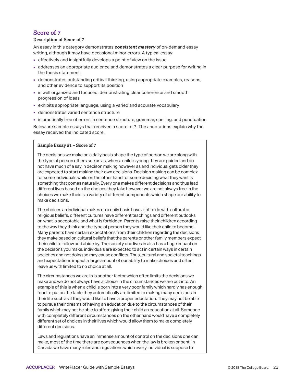#### **Description of Score of 7**

An essay in this category demonstrates *consistent mastery* of on-demand essay writing, although it may have occasional minor errors. A typical essay:

- effectively and insightfully develops a point of view on the issue
- addresses an appropriate audience and demonstrates a clear purpose for writing in the thesis statement
- demonstrates outstanding critical thinking, using appropriate examples, reasons, and other evidence to support its position
- is well organized and focused, demonstrating clear coherence and smooth progression of ideas
- exhibits appropriate language, using a varied and accurate vocabulary
- demonstrates varied sentence structure
- is practically free of errors in sentence structure, grammar, spelling, and punctuation

Below are sample essays that received a score of 7. The annotations explain why the essay received the indicated score.

#### **Sample Essay #1 – Score of 7**

The decisions we make on a daily basis shape the type of person we are along with the type of person others see us as, when a child is young they are guided and do not have much of a say in decison making however as and individual gets older they are expected to start making their own decisions. Decision making can be complex for some individuals while on the other hand for some deciding what they want is something that comes naturally. Every one makes different decisions and thus lead different lives based on the choices they take however we are not always free in the choices we make their is a variety of different components which shape our ability to make decisions.

The choices an individual makes on a daily basis have a lot to do with cultural or religious beliefs, different cultures have different teachings and different outlooks on what is acceptable and what is forbidden. Parents raise their children according to the way they think and the type of person they would like their child to become. Many parents have certain expectations from their children regarding the decisions they make based on cultural beliefs that the parents or other family members expect their child to follow and abide by. The society one lives in also has a huge impact on the decisons you make, individuals are expected to act in certain ways in certain societies and not doing so may cause conflicts. Thus, cultural and societal teachings and expectations impact a large amount of our ability to make choices and often leave us with limited to no choice at all.

The circumstances we are in is another factor which often limits the decisions we make and we do not always have a choice in the circumstances we are put into. An example of this is when a child is born into a very poor family which hardly has enough food to put on the table they automatically are limited to making many decisions in their life such as if they would like to have a proper eductation. They may not be able to pursue their dreams of having an education due to the circumstances of their family which may not be able to afford giving their child an education at all. Someone with completely different circumstances on the other hand would have a completely different set of choices in their lives which would allow them to make completely different decisions.

Laws and regulations have an immense amount of control on the decisions one can make, most of the time there are consequences when the law is broken or bent. In Canada we have many rules and regulations which every individual is suppose to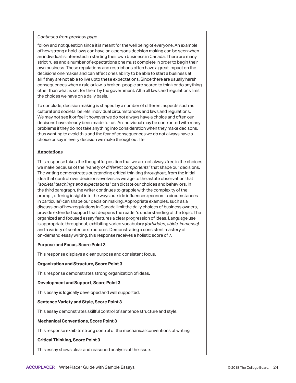follow and not question since it is meant for the well being of everyone. An example of how strong a hold laws can have on a persons decision making can be seen when an individual is interested in starting their own business in Canada. There are many strict rules and a number of expectations one must complete in order to begin their own business. These regulations and restrictions often have a great impact on the decisions one makes and can affect ones ability to be able to start a business at all if they are not able to live upto these expectations. Since there are usually harsh consequences when a rule or law is broken, people are scared to think or do anything other than what is set for them by the government. All in all laws and regulations limit the choices we have on a daily basis.

To conclude, decision making is shaped by a number of different aspects such as cultural and societal beliefs, individual circumstances and laws and regulations. We may not see it or feel it however we do not always have a choice and often our decisons have already been made for us. An individual may be confronted with many problems if they do not take anything into consideration when they make decisons, thus wanting to avoid this and the fear of consequences we do not always have a choice or say in every decision we make throughout life.

#### **Annotations**

This response takes the thoughtful position that we are not always free in the choices we make because of the *"variety of different components"* that shape our decisions. The writing demonstrates outstanding critical thinking throughout, from the initial idea that control over decisions evolves as we age to the astute observation that *"societal teachings and expectations"* can dictate our choices and behaviors. In the third paragraph, the writer continues to grapple with the complexity of the prompt, offering insight into the ways outside influences (economic circumstances in particular) can shape our decision making. Appropriate examples, such as a discussion of how regulations in Canada limit the daily choices of business owners, provide extended support that deepens the reader's understanding of the topic. The organized and focused essay features a clear progression of ideas. Language use is appropriate throughout, exhibiting varied vocabulary *(forbidden, abide, immense)*  and a variety of sentence structures. Demonstrating a consistent mastery of on-demand essay writing, this response receives a holistic score of 7.

#### **Purpose and Focus, Score Point 3**

This response displays a clear purpose and consistent focus.

#### **Organization and Structure, Score Point 3**

This response demonstrates strong organization of ideas.

#### **Development and Support, Score Point 3**

This essay is logically developed and well supported.

#### **Sentence Variety and Style, Score Point 3**

This essay demonstrates skillful control of sentence structure and style.

#### **Mechanical Conventions, Score Point 3**

This response exhibits strong control of the mechanical conventions of writing.

#### **Critical Thinking, Score Point 3**

This essay shows clear and reasoned analysis of the issue.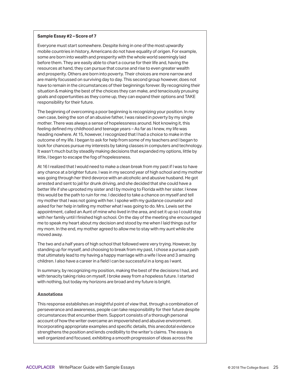#### **Sample Essay #2 – Score of 7**

Everyone must start somewhere. Despite living in one of the most upwardly mobile countries in history, Americans do not have equality of origen. For example, some are born into wealth and presperity with the whole world seemingly laid before them. They are easily able to chart a course for their life and, having the resources at hand, they can pursue that course and rise to even greater wealth and prosperity. Others are born into poverty. Their choices are more narrow and are mainly focussed on surviving day to day. This second group however, does not have to remain in the circumstances of their beginnings forever. By recognizing their situation & making the best of the choices they can make, and tenaciously prusuing goals and oppertunities as they come up, they can expand their options and TAKE responsibility for their future.

The beginning of overcoming a poor beginning is recognizing your position. In my own case, being the son of an abusive father, I was raised in poverty by my single mother. There was always a sense of hopelessness around. Not knowing it, this feeling defined my childhood and teenage years – As far as I knew, my life was heading nowhere. At 15, however, I recognized that I had a choice to make in the outcome of my life. I began to ask for help from some of my teachers and I began to look for chances pursue my interests by taking classes in computers and technology. It wasn't much but by steadily making decisions that expanded my options, little by little, I began to escape the fog of hopelessness.

At 16 I realized that I would need to make a clean break from my past if I was to have any chance at a brighter future. I was in my second year of high school and my mother was going through her third devorce with an alcoholic and abusive husband. He got arrested and sent to jail for drunk driving, and she decided that she could have a better life if she uprooted my sister and I by moving to Florida with her sister. I knew this would be the path to ruin for me. I decided to take a chance on myself and tell my mother that I was not going with her. I spoke with my guidance counselor and asked for her help in telling my mother what I was going to do. Mrs. Lewis set the appointment, called an Aunt of mine who lived in the area, and set it up so I could stay with her family until I finished high school. On the day of the meeting she encouraged me to speak my heart about my decision and stood by me when I laid things out for my mom. In the end, my mother agreed to allow me to stay with my aunt while she moved away.

The two and a half years of high school that followed were very trying. However, by standing up for myself, and choosing to break from my past, I chose a pursue a path that ultimately lead to my having a happy marriage with a wife I love and 3 amazing children. I also have a career in a field I can be successful in a long as I want.

In summary, by recognizing my position, making the best of the decisions I had, and with tenacity taking risks on myself, I broke away from a hopeless future. I started with nothing, but today my horizons are broad and my future is bright.

#### **Annotations**

This response establishes an insightful point of view that, through a combination of perseverance and awareness, people can take responsibility for their future despite circumstances that encumber them. Support consists of a thorough personal account of how the writer overcame an impoverished and abusive environment. Incorporating appropriate examples and specific details, this anecdotal evidence strengthens the position and lends credibility to the writer's claims. The essay is well organized and focused, exhibiting a smooth progression of ideas across the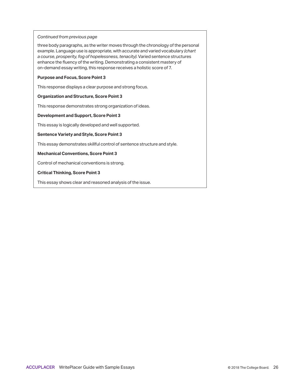three body paragraphs, as the writer moves through the chronology of the personal example. Language use is appropriate, with accurate and varied vocabulary *(chart a course, prosperity, fog of hopelessness, tenacity)*. Varied sentence structures enhance the fluency of the writing. Demonstrating a consistent mastery of on-demand essay writing, this response receives a holistic score of 7.

#### **Purpose and Focus, Score Point 3**

This response displays a clear purpose and strong focus.

#### **Organization and Structure, Score Point 3**

This response demonstrates strong organization of ideas.

#### **Development and Support, Score Point 3**

This essay is logically developed and well supported.

#### **Sentence Variety and Style, Score Point 3**

This essay demonstrates skillful control of sentence structure and style.

#### **Mechanical Conventions, Score Point 3**

Control of mechanical conventions is strong.

#### **Critical Thinking, Score Point 3**

This essay shows clear and reasoned analysis of the issue.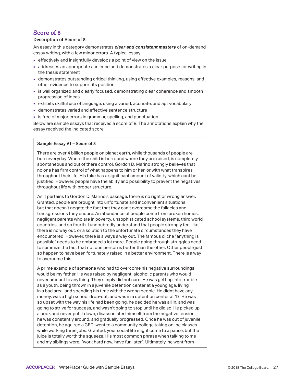#### **Description of Score of 8**

An essay in this category demonstrates *clear and consistent mastery* of on-demand essay writing, with a few minor errors. A typical essay:

- effectively and insightfully develops a point of view on the issue
- addresses an appropriate audience and demonstrates a clear purpose for writing in the thesis statement
- demonstrates outstanding critical thinking, using effective examples, reasons, and other evidence to support its position
- **is well organized and clearly focused, demonstrating clear coherence and smooth** progression of ideas
- exhibits skillful use of language, using a varied, accurate, and apt vocabulary
- demonstrates varied and effective sentence structure
- is free of major errors in grammar, spelling, and punctuation

Below are sample essays that received a score of 8. The annotations explain why the essay received the indicated score.

#### **Sample Essay #1 – Score of 8**

There are over 4 billion people on planet earth, while thousands of people are born everyday. Where the child is born, and where they are raised, is completely spontaneous and out of there control. Gordon D. Marino strongly believes that no one has firm control of what happens to him or her, or with what transpires throughout their life. His take has a significant amount of validity, which cant be justified. However, people have the ablity and possibility to prevent the negatives throughout life with proper structure.

As it pertains to Gordon D. Marino's passage, there is no right or wrong answer. Granted, people are brought into unfortunate and inconvenient situations, but that doesn't negate the fact that they can't overcome the fallacies and transgressions they endure. An abundance of people come from broken homes, negligent parents who are in poverty, unsophisticated school systems, third world countries, and so fourth. I undoubtedly understand that people strongly feel like there is no way out, or a solution to the unfortunate circumstances they have encountered. However, there is always a way out. The famous cliche "anything is possible" needs to be embraced a lot more. People going through struggles need to summize the fact that not one person is better than the other. Other people just so happen to have been fortunately raised in a better environment. There is a way to overcome this.

A prime example of someone who had to overcome his negative surroundings would be my father. He was raised by negligent, alcoholic parents who would never amount to anything. They simply did not care. He was getting into trouble as a youth, being thrown in a juvenile detention center at a young age, living in a bad area, and spending his time with the wrong people. He didnt have any money, was a high school drop-out, and was in a detention center at 17. He was so upset with the way his life had been going, he decided he was all in, and was going to strive for success, and wasn't going to stop until he did so. He picked up a book and never put it down, disassociated himself from the negative tension he was constantly around, and gradually progressed. Once he was out of juvenile detention, he aquired a GED, went to a community college taking online classes while working three jobs. Granted, your social life might come to a pause, but the juice is totally worth the squeeze. His most common phrase when talking to me and my siblings were, "work hard now, have fun later". Ultimately, he went from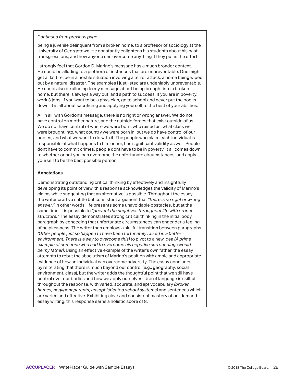being a juvenile delinquent from a broken home, to a proffesor of sociology at the University of Georgetown. He constantly enlightens his students about his past transgressions, and how anyone can overcome anything if they put in the effort.

I strongly feel that Gordon D. Marino's message has a much broader context. He could be alluding to a plethora of instances that are unpreventable. One might get a flat tire, be in a hostile situation involving a terror attack, a home being wiped out by a natural disaster. The examples I just listed are undeniably unpreventable. He could also be alluding to my message about being brought into a broken home, but there is always a way out, and a path to success. If you are in poverty, work 3 jobs. If you want to be a physician, go to school and never put the books down. It is all about sacrificing and applying yourself to the best of your abilities.

All in all, with Gordon's message, there is no right or wrong answer. We do not have control on mother nature, and the outside forces that exist outside of us. We do not have control of where we were born, who raised us, what class we were brought into, what country we were born in, but we do have control of our bodies, and what we want to do with it. The people who claim each individual is responsible of what happens to him or her, has significant validity as well. People dont have to commit crimes, people dont have to be in poverty. It all comes down to whether or not you can overcome the unfortunate circumstances, and apply yourself to be the best possible person.

#### **Annotations**

Demonstrating outstanding critical thinking by effectively and insightfully developing its point of view, this response acknowledges the validity of Marino's claims while suggesting that an alternative is possible. Throughout the essay, the writer crafts a subtle but consistent argument that *"there is no right or wrong answer."* In other words, life presents some unavoidable obstacles, but at the same time, it is possible to *"prevent the negatives throughout life with proper structure."* The essay demonstrates strong critical thinking in the initial body paragraph by conceding that unfortunate circumstances can engender a feeling of helplessness. The writer then employs a skillful transition between paragraphs *(Other people just so happen to have been fortunately raised in a better environment. There is a way to overcome this)* to pivot to a new idea *(A prime example of someone who had to overcome his negative surroundings would be my father)*. Using an effective example of the writer's own father, the essay attempts to rebut the absolutism of Marino's position with ample and appropriate evidence of how an individual can overcome adversity. The essay concludes by reiterating that there is much beyond our control (e.g., geography, social environment, class), but the writer adds the thoughtful point that we still have control over our bodies and how we apply ourselves. Use of language is skillful throughout the response, with varied, accurate, and apt vocabulary *(broken homes, negligent parents, unsophisticated school systems)* and sentences which are varied and effective. Exhibiting clear and consistent mastery of on-demand essay writing, this response earns a holistic score of 8.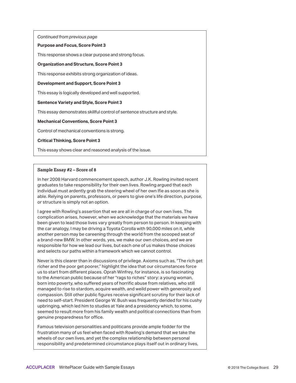#### **Purpose and Focus, Score Point 3**

This response shows a clear purpose and strong focus.

#### **Organization and Structure, Score Point 3**

This response exhibits strong organization of ideas.

#### **Development and Support, Score Point 3**

This essay is logically developed and well supported.

#### **Sentence Variety and Style, Score Point 3**

This essay demonstrates skillful control of sentence structure and style.

#### **Mechanical Conventions, Score Point 3**

Control of mechanical conventions is strong.

#### **Critical Thinking, Score Point 3**

This essay shows clear and reasoned analysis of the issue.

#### **Sample Essay #2 – Score of 8**

In her 2008 Harvard commencement speech, author J.K. Rowling invited recent graduates to take responsibility for their own lives. Rowling argued that each individual must ardently grab the steering wheel of her own lfie as soon as she is able. Relying on parents, professors, or peers to give one's life direction, purpose, or structure is simply not an option.

I agree with Rowling's assertion that we are all in charge of our own lives. The complication arises, however, when we acknowledge that the materials we have been given to lead those lives vary greatly from person to person. In keeping with the car analogy, I may be driving a Toyota Corolla with 90,000 miles on it, while another person may be careening through the world from the scooped seat of a brand-new BMW. In other words, yes, we make our own choices, and we are responsible for how we lead our lives, but each one of us makes those choices and selects our paths within a framework which we cannot control.

Never is this clearer than in discussions of privilege. Axioms such as, "The rich get richer and the poor get poorer," highlight the idea that our circumstances force us to start from different places. Oprah Winfrey, for instance, is so fascinating to the American public because of her "rags to riches" story: a young woman, born into poverty, who suffered years of horrific abuse from relatives, who still managed to rise to stardom, acquire wealth, and weild power with generosity and compassion. Still other public figures receive significant scrutiny for their lack of need to self-start. President George W. Bush was frequently derided for his cushy upbringing, which led him to studies at Yale and a presidency which, to some, seemed to result more from his family wealth and political connections than from genuine preparedness for office.

Famous television personalities and politicans provide ample fodder for the frustration many of us feel when faced with Rowling's demand that we take the wheels of our own lives, and yet the complex relationship between personal responsibility and predetermined circumstance plays itself out in ordinary lives,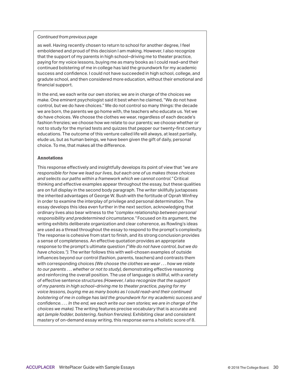as well. Having recently chosen to return to school for another degree, I feel emboldened and proud of this decision I am making. However, I also recognize that the support of my parents in high school–driving me to theater practice, paying for my voice lessons, buying me as many books as I could read–and their continued bolstering of me in college has laid the groundwork for my academic success and confidence. I could not have succeeded in high school, college, and gradute school, and then considered more education, without their emotional and financial support.

In the end, we each write our own stories; we are in charge of the choices we make. One eminent psychologist said it best when he claimed, "We do not have control, but we do have choices." We do not control so many things: the decade we are born, the parents we go home with, the teachers who educate us. Yet we do have choices. We choose the clothes we wear, regardless of each decade's fashion frenzies; we choose how we relate to our parents; we choose whether or not to study for the myriad tests and quizzes that pepper our twenty-first century educations. The outcome of this venture called life will always, at least partially, elude us, but as human beings, we have been given the gift of daily, personal choice. To me, that makes all the difference.

#### **Annotations**

This response effectively and insightfully develops its point of view that "*we are responsible for how we lead our lives, but each one of us makes those choices and selects our paths within a framework which we cannot control."* Critical thinking and effective examples appear throughout the essay, but these qualities are on full display in the second body paragraph. The writer skillfully juxtaposes the inherited advantages of George W. Bush with the fortitude of Oprah Winfrey in order to examine the interplay of privilege and personal determination. The essay develops this idea even further in the next section, acknowledging that ordinary lives also bear witness to the "*complex relationship between personal responsibility and predetermined circumstance."* Focused on its argument, the writing exhibits deliberate organization and clear coherence, as Rowling's ideas are used as a thread throughout the essay to respond to the prompt's complexity. The response is cohesive from start to finish, and its strong conclusion provides a sense of completeness. An effective quotation provides an appropriate response to the prompt's ultimate question *(*"*We do not have control, but we do have choices.")*. The writer follows this with well-chosen examples of outside influences beyond our control (fashion, parents, teachers) and contrasts them with corresponding choices *(We choose the clothes we wear . . . how we relate to our parents . . . whether or not to study)*, demonstrating effective reasoning and reinforcing the overall position. The use of language is skillful, with a variety of effective sentence structures *(However, I also recognize that the support of my parents in high school–driving me to theater practice, paying for my voice lessons, buying me as many books as I could read–and their continued bolstering of me in college has laid the groundwork for my academic success and confidence. . . . In the end, we each write our own stories; we are in charge of the choices we make)*. The writing features precise vocabulary that is accurate and apt *(ample fodder, bolstering, fashion frenzies)*. Exhibiting clear and consistent mastery of on-demand essay writing, this response earns a holistic score of 8.